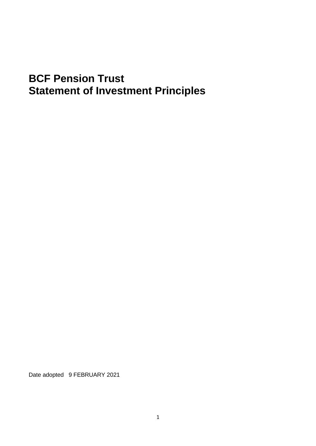# **BCF Pension Trust Statement of Investment Principles**

Date adopted 9 FEBRUARY 2021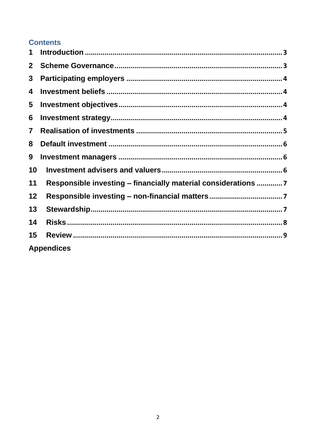# **Contents**

| 1                       |                                                               |  |  |  |
|-------------------------|---------------------------------------------------------------|--|--|--|
| $\mathbf{2}$            |                                                               |  |  |  |
| 3                       |                                                               |  |  |  |
| 4                       |                                                               |  |  |  |
| 5                       |                                                               |  |  |  |
| 6                       |                                                               |  |  |  |
| $\overline{\mathbf{7}}$ |                                                               |  |  |  |
| 8                       |                                                               |  |  |  |
| 9                       |                                                               |  |  |  |
| 10                      |                                                               |  |  |  |
| 11                      | Responsible investing - financially material considerations 7 |  |  |  |
| 12                      |                                                               |  |  |  |
| 13                      |                                                               |  |  |  |
| 14                      |                                                               |  |  |  |
| 15                      |                                                               |  |  |  |
| <b>Appendices</b>       |                                                               |  |  |  |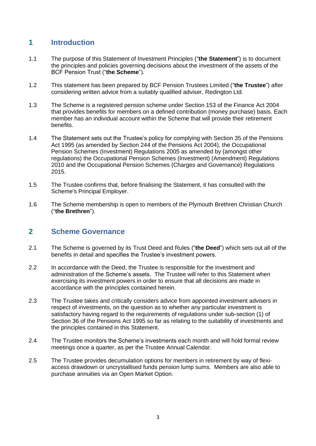# <span id="page-2-0"></span>**1 Introduction**

- 1.1 The purpose of this Statement of Investment Principles ("**the Statement**") is to document the principles and policies governing decisions about the investment of the assets of the BCF Pension Trust ("**the Scheme**").
- 1.2 This statement has been prepared by BCF Pension Trustees Limited ("**the Trustee**") after considering written advice from a suitably qualified adviser, Redington Ltd.
- 1.3 The Scheme is a registered pension scheme under Section 153 of the Finance Act 2004 that provides benefits for members on a defined contribution (money purchase) basis. Each member has an individual account within the Scheme that will provide their retirement benefits.
- 1.4 The Statement sets out the Trustee's policy for complying with Section 35 of the Pensions Act 1995 (as amended by Section 244 of the Pensions Act 2004), the Occupational Pension Schemes (Investment) Regulations 2005 as amended by (amongst other regulations) the Occupational Pension Schemes (Investment) (Amendment) Regulations 2010 and the Occupational Pension Schemes (Charges and Governance) Regulations 2015.
- 1.5 The Trustee confirms that, before finalising the Statement, it has consulted with the Scheme's Principal Employer.
- 1.6 The Scheme membership is open to members of the Plymouth Brethren Christian Church ("**the Brethren**").

## <span id="page-2-1"></span>**2 Scheme Governance**

- 2.1 The Scheme is governed by its Trust Deed and Rules ("**the Deed**") which sets out all of the benefits in detail and specifies the Trustee's investment powers.
- 2.2 In accordance with the Deed, the Trustee is responsible for the investment and administration of the Scheme's assets. The Trustee will refer to this Statement when exercising its investment powers in order to ensure that all decisions are made in accordance with the principles contained herein.
- 2.3 The Trustee takes and critically considers advice from appointed investment advisers in respect of investments, on the question as to whether any particular investment is satisfactory having regard to the requirements of regulations under sub-section (1) of Section 36 of the Pensions Act 1995 so far as relating to the suitability of investments and the principles contained in this Statement.
- 2.4 The Trustee monitors the Scheme's investments each month and will hold formal review meetings once a quarter, as per the Trustee Annual Calendar.
- 2.5 The Trustee provides decumulation options for members in retirement by way of flexiaccess drawdown or uncrystallised funds pension lump sums. Members are also able to purchase annuities via an Open Market Option.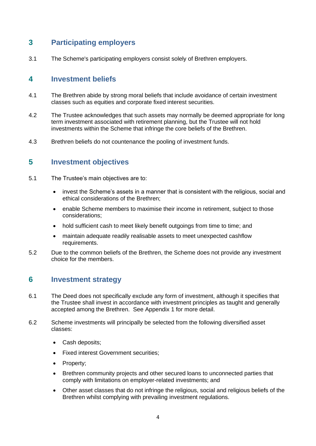# <span id="page-3-0"></span>**3 Participating employers**

3.1 The Scheme's participating employers consist solely of Brethren employers.

## <span id="page-3-1"></span>**4 Investment beliefs**

- 4.1 The Brethren abide by strong moral beliefs that include avoidance of certain investment classes such as equities and corporate fixed interest securities.
- 4.2 The Trustee acknowledges that such assets may normally be deemed appropriate for long term investment associated with retirement planning, but the Trustee will not hold investments within the Scheme that infringe the core beliefs of the Brethren.
- 4.3 Brethren beliefs do not countenance the pooling of investment funds.

#### <span id="page-3-2"></span>**5 Investment objectives**

- 5.1 The Trustee's main objectives are to:
	- invest the Scheme's assets in a manner that is consistent with the religious, social and ethical considerations of the Brethren;
	- enable Scheme members to maximise their income in retirement, subject to those considerations;
	- hold sufficient cash to meet likely benefit outgoings from time to time; and
	- maintain adequate readily realisable assets to meet unexpected cashflow requirements.
- 5.2 Due to the common beliefs of the Brethren, the Scheme does not provide any investment choice for the members.

#### <span id="page-3-3"></span>**6 Investment strategy**

- 6.1 The Deed does not specifically exclude any form of investment, although it specifies that the Trustee shall invest in accordance with investment principles as taught and generally accepted among the Brethren. See Appendix 1 for more detail.
- 6.2 Scheme investments will principally be selected from the following diversified asset classes:
	- Cash deposits;
	- Fixed interest Government securities;
	- Property;
	- Brethren community projects and other secured loans to unconnected parties that comply with limitations on employer-related investments; and
	- Other asset classes that do not infringe the religious, social and religious beliefs of the Brethren whilst complying with prevailing investment regulations.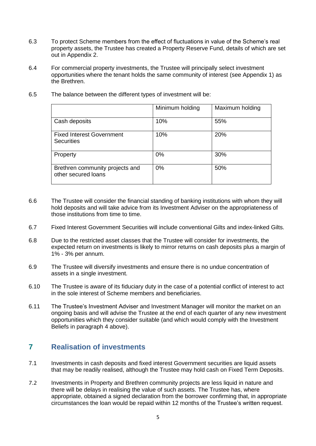- 6.3 To protect Scheme members from the effect of fluctuations in value of the Scheme's real property assets, the Trustee has created a Property Reserve Fund, details of which are set out in Appendix 2.
- 6.4 For commercial property investments, the Trustee will principally select investment opportunities where the tenant holds the same community of interest (see Appendix 1) as the Brethren.

|                                                        | Minimum holding | Maximum holding |
|--------------------------------------------------------|-----------------|-----------------|
| Cash deposits                                          | 10%             | 55%             |
| <b>Fixed Interest Government</b><br><b>Securities</b>  | 10%             | 20%             |
| Property                                               | 0%              | 30%             |
| Brethren community projects and<br>other secured loans | 0%              | 50%             |

6.5 The balance between the different types of investment will be:

- 6.6 The Trustee will consider the financial standing of banking institutions with whom they will hold deposits and will take advice from its Investment Adviser on the appropriateness of those institutions from time to time.
- 6.7 Fixed Interest Government Securities will include conventional Gilts and index-linked Gilts.
- 6.8 Due to the restricted asset classes that the Trustee will consider for investments, the expected return on investments is likely to mirror returns on cash deposits plus a margin of 1% - 3% per annum.
- 6.9 The Trustee will diversify investments and ensure there is no undue concentration of assets in a single investment.
- 6.10 The Trustee is aware of its fiduciary duty in the case of a potential conflict of interest to act in the sole interest of Scheme members and beneficiaries.
- 6.11 The Trustee's Investment Adviser and Investment Manager will monitor the market on an ongoing basis and will advise the Trustee at the end of each quarter of any new investment opportunities which they consider suitable (and which would comply with the Investment Beliefs in paragraph 4 above).

## <span id="page-4-0"></span>**7 Realisation of investments**

- 7.1 Investments in cash deposits and fixed interest Government securities are liquid assets that may be readily realised, although the Trustee may hold cash on Fixed Term Deposits.
- 7.2 Investments in Property and Brethren community projects are less liquid in nature and there will be delays in realising the value of such assets. The Trustee has, where appropriate, obtained a signed declaration from the borrower confirming that, in appropriate circumstances the loan would be repaid within 12 months of the Trustee's written request.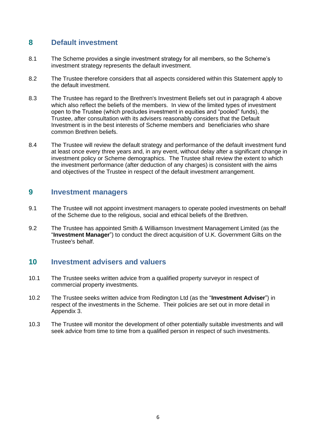# <span id="page-5-0"></span>**8 Default investment**

- 8.1 The Scheme provides a single investment strategy for all members, so the Scheme's investment strategy represents the default investment.
- 8.2 The Trustee therefore considers that all aspects considered within this Statement apply to the default investment.
- 8.3 The Trustee has regard to the Brethren's Investment Beliefs set out in paragraph 4 above which also reflect the beliefs of the members. In view of the limited types of investment open to the Trustee (which precludes investment in equities and "pooled" funds), the Trustee, after consultation with its advisers reasonably considers that the Default Investment is in the best interests of Scheme members and beneficiaries who share common Brethren beliefs.
- 8.4 The Trustee will review the default strategy and performance of the default investment fund at least once every three years and, in any event, without delay after a significant change in investment policy or Scheme demographics. The Trustee shall review the extent to which the investment performance (after deduction of any charges) is consistent with the aims and objectives of the Trustee in respect of the default investment arrangement.

#### <span id="page-5-1"></span>**9 Investment managers**

- 9.1 The Trustee will not appoint investment managers to operate pooled investments on behalf of the Scheme due to the religious, social and ethical beliefs of the Brethren.
- 9.2 The Trustee has appointed Smith & Williamson Investment Management Limited (as the "**Investment Manager**") to conduct the direct acquisition of U.K. Government Gilts on the Trustee's behalf.

## <span id="page-5-2"></span>**10 Investment advisers and valuers**

- 10.1 The Trustee seeks written advice from a qualified property surveyor in respect of commercial property investments.
- 10.2 The Trustee seeks written advice from Redington Ltd (as the "**Investment Adviser**") in respect of the investments in the Scheme. Their policies are set out in more detail in Appendix 3.
- <span id="page-5-3"></span>10.3 The Trustee will monitor the development of other potentially suitable investments and will seek advice from time to time from a qualified person in respect of such investments.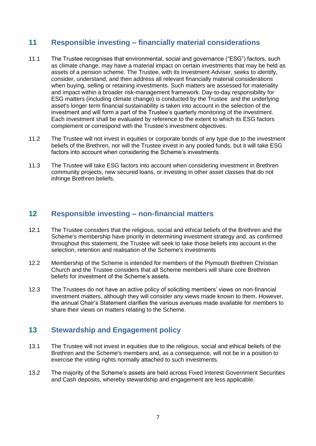# **11 Responsible investing – financially material considerations**

- 11.1 The Trustee recognises that environmental, social and governance ("ESG") factors, such as climate change, may have a material impact on certain investments that may be held as assets of a pension scheme. The Trustee, with its Investment Adviser, seeks to identify, consider, understand, and then address all relevant financially material considerations when buying, selling or retaining investments. Such matters are assessed for materiality and impact within a broader risk-management framework. Day-to-day responsibility for ESG matters (including climate change) is conducted by the Trustee and the underlying asset's longer term financial sustainability is taken into account in the selection of the investment and will form a part of the Trustee's quarterly monitoring of the investment. Each investment shall be evaluated by reference to the extent to which its ESG factors complement or correspond with the Trustee's investment objectives.
- 11.2 The Trustee will not invest in equities or corporate bonds of any type due to the investment beliefs of the Brethren, nor will the Trustee invest in any pooled funds, but it will take ESG factors into account when considering the Scheme's investments.
- 11.3 The Trustee will take ESG factors into account when considering investment in Brethren community projects, new secured loans, or investing in other asset classes that do not infringe Brethren beliefs.

## <span id="page-6-0"></span>**12 Responsible investing – non-financial matters**

- 12.1 The Trustee considers that the religious, social and ethical beliefs of the Brethren and the Scheme's membership have priority in determining investment strategy and, as confirmed throughout this statement, the Trustee will seek to take those beliefs into account in the selection, retention and realisation of the Scheme's investments
- 12.2 Membership of the Scheme is intended for members of the Plymouth Brethren Christian Church and the Trustee considers that all Scheme members will share core Brethren beliefs for investment of the Scheme's assets.
- 12.3 The Trustees do not have an active policy of soliciting members' views on non-financial investment matters, although they will consider any views made known to them. However, the annual Chair's Statement clarifies the various avenues made available for members to share their views on matters relating to the Scheme.

# <span id="page-6-1"></span>**13 Stewardship and Engagement policy**

- 13.1 The Trustee will not invest in equities due to the religious, social and ethical beliefs of the Brethren and the Scheme's members and, as a consequence, will not be in a position to exercise the voting rights normally attached to such investments.
- 13.2 The majority of the Scheme's assets are held across Fixed Interest Government Securities and Cash deposits, whereby stewardship and engagement are less applicable.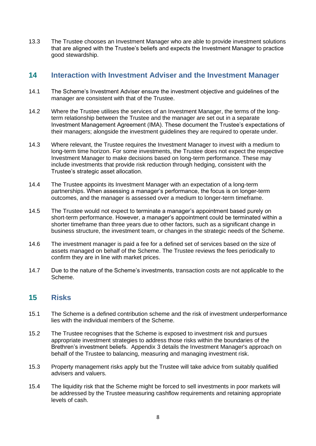13.3 The Trustee chooses an Investment Manager who are able to provide investment solutions that are aligned with the Trustee's beliefs and expects the Investment Manager to practice good stewardship.

#### **14 Interaction with Investment Adviser and the Investment Manager**

- 14.1 The Scheme's Investment Adviser ensure the investment objective and guidelines of the manager are consistent with that of the Trustee.
- 14.2 Where the Trustee utilises the services of an Investment Manager, the terms of the longterm relationship between the Trustee and the manager are set out in a separate Investment Management Agreement (IMA). These document the Trustee's expectations of their managers; alongside the investment guidelines they are required to operate under.
- 14.3 Where relevant, the Trustee requires the Investment Manager to invest with a medium to long-term time horizon. For some investments, the Trustee does not expect the respective Investment Manager to make decisions based on long-term performance. These may include investments that provide risk reduction through hedging, consistent with the Trustee's strategic asset allocation.
- 14.4 The Trustee appoints its Investment Manager with an expectation of a long-term partnerships. When assessing a manager's performance, the focus is on longer-term outcomes, and the manager is assessed over a medium to longer-term timeframe.
- 14.5 The Trustee would not expect to terminate a manager's appointment based purely on short-term performance. However, a manager's appointment could be terminated within a shorter timeframe than three years due to other factors, such as a significant change in business structure, the investment team, or changes in the strategic needs of the Scheme.
- 14.6 The investment manager is paid a fee for a defined set of services based on the size of assets managed on behalf of the Scheme. The Trustee reviews the fees periodically to confirm they are in line with market prices.
- 14.7 Due to the nature of the Scheme's investments, transaction costs are not applicable to the Scheme.

## <span id="page-7-0"></span>**15 Risks**

- 15.1 The Scheme is a defined contribution scheme and the risk of investment underperformance lies with the individual members of the Scheme.
- 15.2 The Trustee recognises that the Scheme is exposed to investment risk and pursues appropriate investment strategies to address those risks within the boundaries of the Brethren's investment beliefs. Appendix 3 details the Investment Manager's approach on behalf of the Trustee to balancing, measuring and managing investment risk.
- 15.3 Property management risks apply but the Trustee will take advice from suitably qualified advisers and valuers.
- 15.4 The liquidity risk that the Scheme might be forced to sell investments in poor markets will be addressed by the Trustee measuring cashflow requirements and retaining appropriate levels of cash.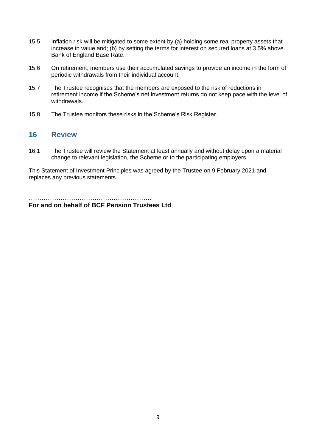- 15.5 Inflation risk will be mitigated to some extent by (a) holding some real property assets that increase in value and; (b) by setting the terms for interest on secured loans at 3.5% above Bank of England Base Rate.
- 15.6 On retirement, members use their accumulated savings to provide an income in the form of periodic withdrawals from their individual account.
- 15.7 The Trustee recognises that the members are exposed to the risk of reductions in retirement income if the Scheme's net investment returns do not keep pace with the level of withdrawals.
- 15.8 The Trustee monitors these risks in the Scheme's Risk Register.

## <span id="page-8-0"></span>**16 Review**

16.1 The Trustee will review the Statement at least annually and without delay upon a material change to relevant legislation, the Scheme or to the participating employers.

This Statement of Investment Principles was agreed by the Trustee on 9 February 2021 and replaces any previous statements.

………………………………………………………… **For and on behalf of BCF Pension Trustees Ltd**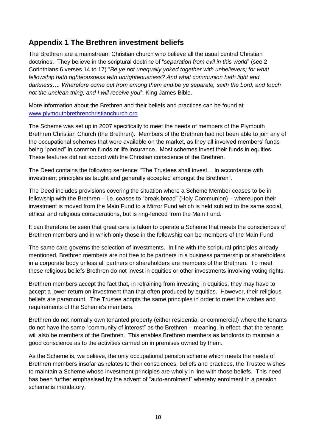# **Appendix 1 The Brethren investment beliefs**

The Brethren are a mainstream Christian church who believe all the usual central Christian doctrines. They believe in the scriptural doctrine of "*separation from evil in this world*" (see 2 Corinthians 6 verses 14 to 17) "*Be ye not unequally yoked together with unbelievers; for what fellowship hath righteousness with unrighteousness? And what communion hath light and darkness…. Wherefore come out from among them and be ye separate, saith the Lord, and touch not the unclean thing; and I will receive you*". King James Bible.

More information about the Brethren and their beliefs and practices can be found at [www.plymouthbrethrenchristianchurch.org](http://www.plymouthbrethrenchristianchurch.org/)

The Scheme was set up in 2007 specifically to meet the needs of members of the Plymouth Brethren Christian Church (the Brethren). Members of the Brethren had not been able to join any of the occupational schemes that were available on the market, as they all involved members' funds being "pooled" in common funds or life insurance. Most schemes invest their funds in equities. These features did not accord with the Christian conscience of the Brethren.

The Deed contains the following sentence: "The Trustees shall invest… in accordance with investment principles as taught and generally accepted amongst the Brethren".

The Deed includes provisions covering the situation where a Scheme Member ceases to be in fellowship with the Brethren – i.e. ceases to "break bread" (Holy Communion) – whereupon their investment is moved from the Main Fund to a Mirror Fund which is held subject to the same social, ethical and religious considerations, but is ring-fenced from the Main Fund.

It can therefore be seen that great care is taken to operate a Scheme that meets the consciences of Brethren members and in which only those in the fellowship can be members of the Main Fund

The same care governs the selection of investments. In line with the scriptural principles already mentioned, Brethren members are not free to be partners in a business partnership or shareholders in a corporate body unless all partners or shareholders are members of the Brethren. To meet these religious beliefs Brethren do not invest in equities or other investments involving voting rights.

Brethren members accept the fact that, in refraining from investing in equities, they may have to accept a lower return on investment than that often produced by equities. However, their religious beliefs are paramount. The Trustee adopts the same principles in order to meet the wishes and requirements of the Scheme's members.

Brethren do not normally own tenanted property (either residential or commercial) where the tenants do not have the same "community of interest" as the Brethren – meaning, in effect, that the tenants will also be members of the Brethren. This enables Brethren members as landlords to maintain a good conscience as to the activities carried on in premises owned by them.

As the Scheme is, we believe, the only occupational pension scheme which meets the needs of Brethren members insofar as relates to their consciences, beliefs and practices, the Trustee wishes to maintain a Scheme whose investment principles are wholly in line with those beliefs. This need has been further emphasised by the advent of "auto-enrolment" whereby enrolment in a pension scheme is mandatory.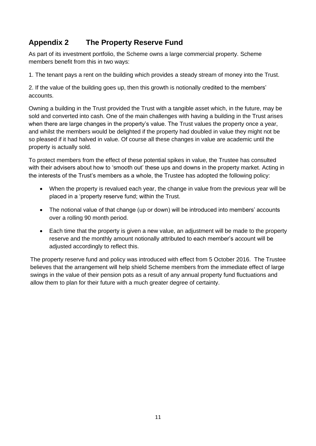# **Appendix 2 The Property Reserve Fund**

As part of its investment portfolio, the Scheme owns a large commercial property. Scheme members benefit from this in two ways:

1. The tenant pays a rent on the building which provides a steady stream of money into the Trust.

2. If the value of the building goes up, then this growth is notionally credited to the members' accounts.

Owning a building in the Trust provided the Trust with a tangible asset which, in the future, may be sold and converted into cash. One of the main challenges with having a building in the Trust arises when there are large changes in the property's value. The Trust values the property once a year, and whilst the members would be delighted if the property had doubled in value they might not be so pleased if it had halved in value. Of course all these changes in value are academic until the property is actually sold.

To protect members from the effect of these potential spikes in value, the Trustee has consulted with their advisers about how to 'smooth out' these ups and downs in the property market. Acting in the interests of the Trust's members as a whole, the Trustee has adopted the following policy:

- When the property is revalued each year, the change in value from the previous year will be placed in a 'property reserve fund; within the Trust.
- The notional value of that change (up or down) will be introduced into members' accounts over a rolling 90 month period.
- Each time that the property is given a new value, an adjustment will be made to the property reserve and the monthly amount notionally attributed to each member's account will be adjusted accordingly to reflect this.

The property reserve fund and policy was introduced with effect from 5 October 2016. The Trustee believes that the arrangement will help shield Scheme members from the immediate effect of large swings in the value of their pension pots as a result of any annual property fund fluctuations and allow them to plan for their future with a much greater degree of certainty.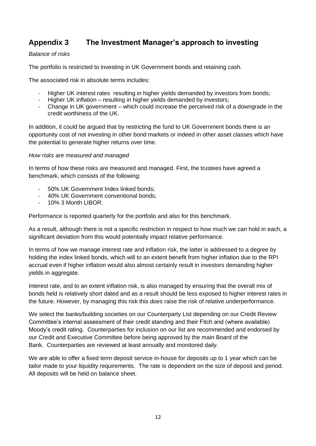# **Appendix 3 The Investment Manager's approach to investing**

#### *Balance of risks*

The portfolio is restricted to investing in UK Government bonds and retaining cash.

The associated risk in absolute terms includes:

- Higher UK interest rates resulting in higher yields demanded by investors from bonds;
- Higher UK inflation resulting in higher yields demanded by investors;
- Change in UK government which could increase the perceived risk of a downgrade in the credit worthiness of the UK.

In addition, it could be argued that by restricting the fund to UK Government bonds there is an opportunity cost of not investing in other bond markets or indeed in other asset classes which have the potential to generate higher returns over time.

#### *How risks are measured and managed*

In terms of how these risks are measured and managed. First, the trustees have agreed a benchmark, which consists of the following:

- 50% UK Government Index linked bonds;
- 40% UK Government conventional bonds;
- 10% 3 Month LIBOR.

Performance is reported quarterly for the portfolio and also for this benchmark.

As a result, although there is not a specific restriction in respect to how much we can hold in each, a significant deviation from this would potentially impact relative performance.

In terms of how we manage interest rate and inflation risk, the latter is addressed to a degree by holding the index linked bonds, which will to an extent benefit from higher inflation due to the RPI accrual even if higher inflation would also almost certainly result in investors demanding higher yields in aggregate.

Interest rate, and to an extent inflation risk, is also managed by ensuring that the overall mix of bonds held is relatively short dated and as a result should be less exposed to higher interest rates in the future. However, by managing this risk this does raise the risk of relative underperformance.

We select the banks/building societies on our Counterparty List depending on our Credit Review Committee's internal assessment of their credit standing and their Fitch and (where available) Moody's credit rating. Counterparties for inclusion on our list are recommended and endorsed by our Credit and Executive Committee before being approved by the main Board of the Bank. Counterparties are reviewed at least annually and monitored daily.

We are able to offer a fixed term deposit service in-house for deposits up to 1 year which can be tailor made to your liquidity requirements. The rate is dependent on the size of deposit and period. All deposits will be held on balance sheet.